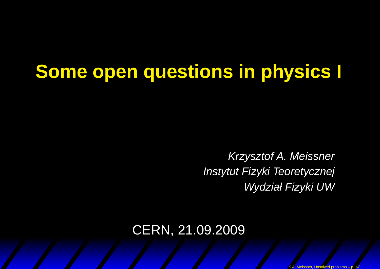# **Some open questions in physics I**

Krzysztof A. MeissnerInstytut Fizyki Teoretycznej Wydział Fizyki UW

#### CERN, 21.09.2009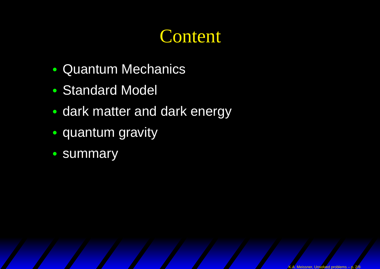# **Content**

- •Quantum Mechanics
- •Standard Model
- dark matter and dark energy
- •• quantum gravity
- summary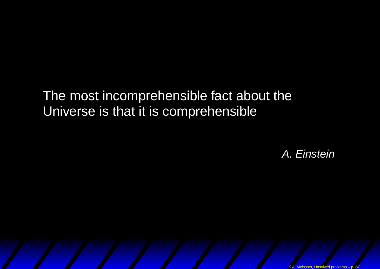#### The most incomprehensible fact about theUniverse is that it is comprehensible

A. Einstein

K.A. Meissner, Unsolved problems – p. 3/8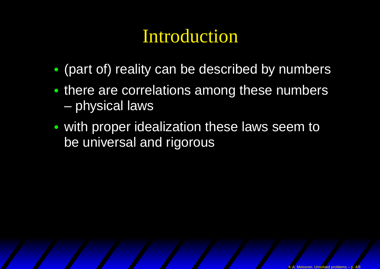- •(part of) reality can be described by numbers
- there are correlations among these numbers $\mathcal{L}_{\mathcal{A}}$ physical laws
- • with proper idealization these laws seem tobe universal and rigorous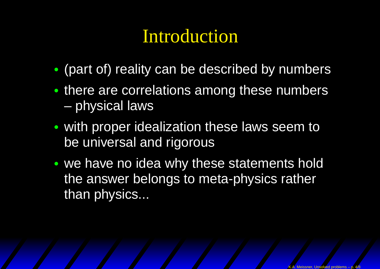- •(part of) reality can be described by numbers
- there are correlations among these numbers $\mathcal{L}_{\mathcal{A}}$ physical laws
- • with proper idealization these laws seem tobe universal and rigorous
- •• we have no idea why these statements hold the answer belongs to meta-physics ratherthan physics...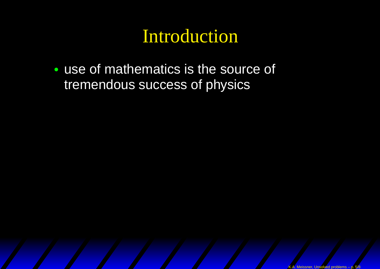• use of mathematics is the source of tremendous success of physics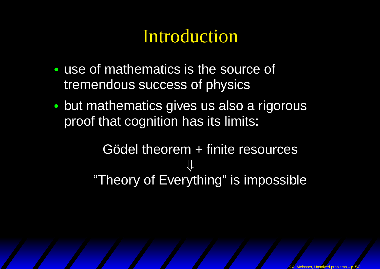- • use of mathematics is the source of tremendous success of physics
- • but mathematics gives us also <sup>a</sup> rigorousproof that cognition has its limits:

Gödel theorem <sup>+</sup> finite resources⇓"Theory of Everything" is impossible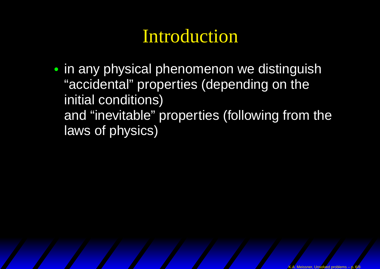• in any physical phenomenon we distinguish"accidental" properties (depending on theinitial conditions) and "inevitable" properties (following from thelaws of physics)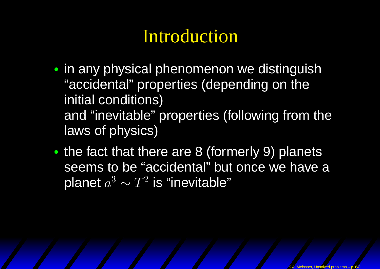- in any physical phenomenon we distinguish"accidental" properties (depending on theinitial conditions) and "inevitable" properties (following from thelaws of physics)
- •• the fact that there are 8 (formerly 9) planets seems to be "accidental" but once we have <sup>a</sup>planet  $a^3\thicksim T^2$  is "inevitable"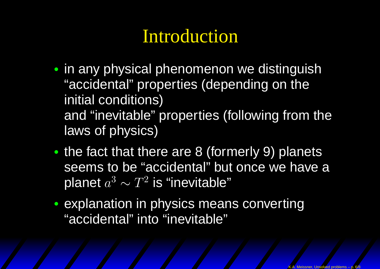- in any physical phenomenon we distinguish"accidental" properties (depending on theinitial conditions) and "inevitable" properties (following from thelaws of physics)
- •• the fact that there are 8 (formerly 9) planets seems to be "accidental" but once we have <sup>a</sup>planet  $a^3\thicksim T^2$  is "inevitable"
- explanation in physics means converting"accidental" into "inevitable"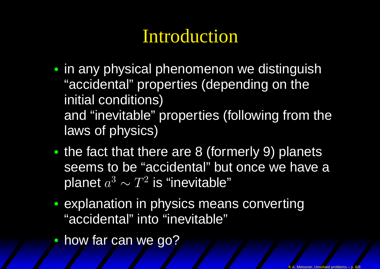- in any physical phenomenon we distinguish"accidental" properties (depending on theinitial conditions) and "inevitable" properties (following from thelaws of physics)
- •• the fact that there are 8 (formerly 9) planets seems to be "accidental" but once we have <sup>a</sup>planet  $a^3\thicksim T^2$  is "inevitable"
- explanation in physics means converting"accidental" into "inevitable"
- •how far can we go?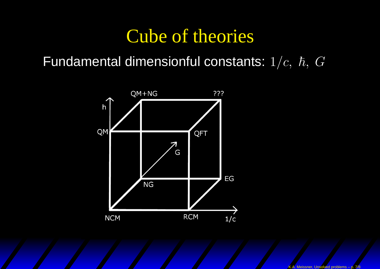#### Cube of theories

#### Fundamental dimensionful constants:  $1/c,~\hbar,~G$

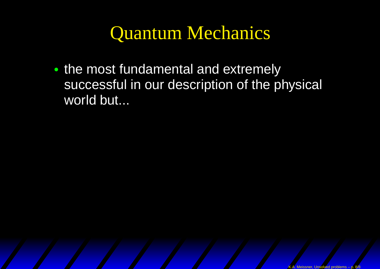#### Quantum Mechanics

•• the most fundamental and extremely successful in our description of the physical world but...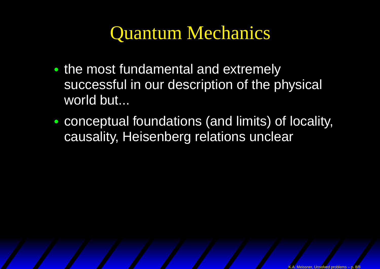# Quantum Mechanics

- •• the most fundamental and extremely successful in our description of the physical world but...
- • conceptual foundations (and limits) of locality, causality, Heisenberg relations unclear